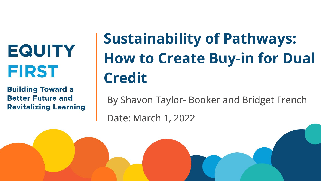**EQUITY FIRST** 

**Building Toward a Better Future and Revitalizing Learning** 

# **Sustainability of Pathways: How to Create Buy-in for Dual Credit**

By Shavon Taylor- Booker and Bridget French

Date: March 1, 2022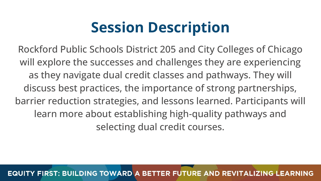## **Session Description**

Rockford Public Schools District 205 and City Colleges of Chicago will explore the successes and challenges they are experiencing as they navigate dual credit classes and pathways. They will discuss best practices, the importance of strong partnerships, barrier reduction strategies, and lessons learned. Participants will learn more about establishing high-quality pathways and selecting dual credit courses.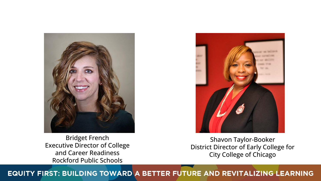

Bridget French Executive Director of College and Career Readiness Rockford Public Schools

Shavon Taylor-Booker District Director of Early College for City College of Chicago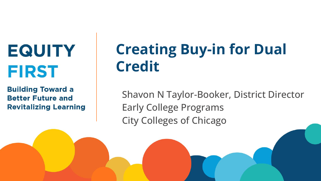**EQUITY FIRST** 

**Building Toward a Better Future and Revitalizing Learning** 

# **Creating Buy-in for Dual Credit**

Shavon N Taylor-Booker, District Director Early College Programs City Colleges of Chicago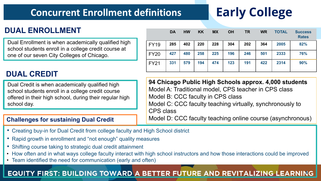### **Concurrent Enrollment definitions**

## **Early College**

### **DUAL ENROLLMENT**

Dual Enrollment is when academically qualified high school students enroll in a college credit course at one of our seven City Colleges of Chicago.

#### **DUAL CREDIT**

Dual Credit is when academically qualified high school students enroll in a college credit course offered in their high school, during their regular high school day.

#### **Challenges for sustaining Dual Credit**

|             | <b>DA</b> | <b>HW</b> | <b>KK</b> | <b>MX</b> | <b>OH</b> | <b>TR</b> | <b>WR</b> | <b>TOTAL</b> | <b>Success</b><br><b>Rates</b> |
|-------------|-----------|-----------|-----------|-----------|-----------|-----------|-----------|--------------|--------------------------------|
| <b>FY19</b> | 285       | 402       | 220       | 228       | 304       | 202       | 364       | 2005         | 82%                            |
| <b>FY20</b> | 427       | 480       | 258       | 225       | 196       | 246       | 501       | 2333         | 76%                            |
| <b>FY21</b> | 331       | 579       | 194       | 474       | 123       | 191       | 422       | 2314         | 90%                            |

**94 Chicago Public High Schools approx. 4,000 students** Model A: Traditional model, CPS teacher in CPS class Model B: CCC faculty in CPS class Model C: CCC faculty teaching virtually, synchronously to CPS class

Model D: CCC faculty teaching online course (asynchronous)

- Creating buy-in for Dual Credit from college faculty and High School district
- Rapid growth in enrollment and "not enough" quality measures
- Shifting course taking to strategic dual credit attainment
- How often and in what ways college faculty interact with high school instructors and how those interactions could be improved
- Team identified the need for communication (early and often)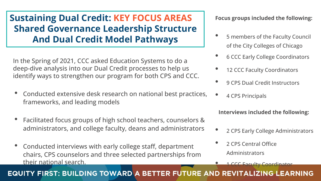### **Sustaining Dual Credit: KEY FOCUS AREAS Shared Governance Leadership Structure And Dual Credit Model Pathways**

In the Spring of 2021, CCC asked Education Systems to do a deep-dive analysis into our Dual Credit processes to help us identify ways to strengthen our program for both CPS and CCC.

- Conducted extensive desk research on national best practices, frameworks, and leading models
- Facilitated focus groups of high school teachers, counselors & administrators, and college faculty, deans and administrators
- Conducted interviews with early college staff, department chairs, CPS counselors and three selected partnerships from their national search.

**Focus groups included the following:**

- 5 members of the Faculty Council of the City Colleges of Chicago
- 6 CCC Early College Coordinators
- 12 CCC Faculty Coordinators
- 9 CPS Dual Credit Instructors
- 4 CPS Principals

**Interviews included the following:**

- 2 CPS Early College Administrators
- 2 CPS Central Office Administrators
	- 1 CCC Faculty Coordinator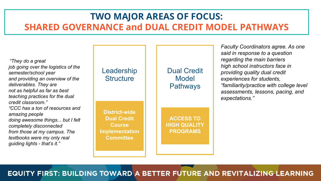### **TWO MAJOR AREAS OF FOCUS: SHARED GOVERNANCE and DUAL CREDIT MODEL PATHWAYS**

Leadership **Structure** Dual Credit Model **Pathways ACCESS TO HIGH QUALITY PROGRAMS District-wide Dual Credit Course Implementation Committee** *"They do a great job going over the logistics of the semester/school year and providing an overview of the deliverables. They are not as helpful as far as best teaching practices for the dual credit classroom." "CCC has a ton of resources and amazing people doing awesome things... but I felt completely disconnected from those at my campus. The textbooks were my only real guiding lights - that's it." Faculty Coordinators agree. As one said in response to a question regarding the main barriers high school instructors face in providing quality dual credit experiences for students, "familiarity/practice with college level assessments, lessons, pacing, and expectations."*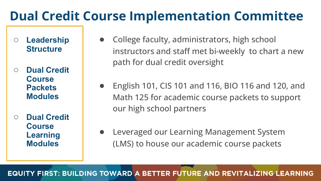### **Dual Credit Course Implementation Committee**

- **○ Leadership Structure**
- **○ Dual Credit Course Packets Modules**
- **○ Dual Credit Course Learning Modules**
- College faculty, administrators, high school instructors and staff met bi-weekly to chart a new path for dual credit oversight
- English 101, CIS 101 and 116, BIO 116 and 120, and Math 125 for academic course packets to support our high school partners
- Leveraged our Learning Management System (LMS) to house our academic course packets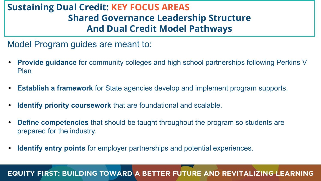### **Sustaining Dual Credit: KEY FOCUS AREAS Shared Governance Leadership Structure And Dual Credit Model Pathways**

Model Program guides are meant to:

- **• Provide guidance** for community colleges and high school partnerships following Perkins V Plan
- **• Establish a framework** for State agencies develop and implement program supports.
- **• Identify priority coursework** that are foundational and scalable.
- **• Define competencies** that should be taught throughout the program so students are prepared for the industry.
- **• Identify entry points** for employer partnerships and potential experiences.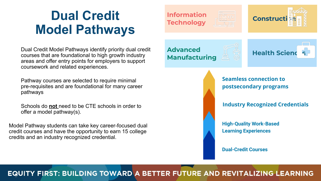### **Dual Credit Model Pathways**

Dual Credit Model Pathways identify priority dual credit courses that are foundational to high growth industry areas and offer entry points for employers to support coursework and related experiences.

Pathway courses are selected to require minimal pre-requisites and are foundational for many career pathways

Schools do **not** need to be CTE schools in order to offer a model pathway(s).

Model Pathway students can take key career-focused dual credit courses and have the opportunity to earn 15 college credits and an industry recognized credential.

#### **Information Technology**





**Advanced Manufacturing**





**Seamless connection to postsecondary programs**

**Industry Recognized Credentials**

**High-Quality Work-Based Learning Experiences**

**Dual-Credit Courses**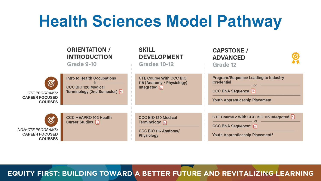# **Health Sciences Model Pathway**

|                                                                                | <b>ORIENTATION /</b><br><b>INTRODUCTION</b><br>Grade 9-10                                                           | <b>SKILL</b><br><b>DEVELOPMENT</b><br>Grades 10-12                                            | <b>CAPSTONE /</b><br><b>ADVANCED</b><br>Grade 12                                                                                               |  |
|--------------------------------------------------------------------------------|---------------------------------------------------------------------------------------------------------------------|-----------------------------------------------------------------------------------------------|------------------------------------------------------------------------------------------------------------------------------------------------|--|
| $\circledS$<br><b>CTE PROGRAMS:</b><br><b>CAREER FOCUSED</b><br><b>COURSES</b> | <b>Intro to Health Occupations</b><br><b>CCC BIO 120 Medical</b><br>Terminology (2nd Semester) $\boxed{\triangleq}$ | <b>CTE Course With CCC BIO</b><br>116 (Anatomy / Physiology)<br>Integrated                    | <b>Program/Sequence Leading to Industry</b><br><b>Credential</b><br>CCC BNA Sequence $\boxed{\equiv}$<br><b>Youth Apprenticeship Placement</b> |  |
| Ø<br><b>NON-CTE PROGRAMS:</b><br><b>CAREER FOCUSED</b><br><b>COURSES</b>       | <b>CCC HEAPRO 102 Health</b><br>Career Studies <b>E</b>                                                             | <b>CCC BIO 120 Medical</b><br>Terminology $\Box$<br><b>CCC BIO 116 Anatomy/</b><br>Physiology | CTE Course 2 With CCC BIO 116 Integrated<br>CCC BNA Sequence*<br>Youth Apprenticeship Placement*                                               |  |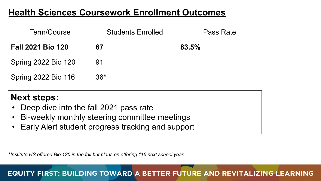### **Health Sciences Coursework Enrollment Outcomes**

| Term/Course                | <b>Students Enrolled</b> | Pass Rate |
|----------------------------|--------------------------|-----------|
| <b>Fall 2021 Bio 120</b>   | 67                       | 83.5%     |
| <b>Spring 2022 Bio 120</b> | 91                       |           |
| Spring 2022 Bio 116        | $36*$                    |           |

### **Next steps:**

- Deep dive into the fall 2021 pass rate
- Bi-weekly monthly steering committee meetings
- Early Alert student progress tracking and support

\**Instituto HS offered Bio 120 in the fall but plans on offering 116 next school year.*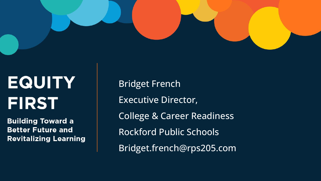

# **EQUITY FIRST**

**Building Toward a Better Future and Revitalizing Learning**  Bridget French Executive Director, College & Career Readiness Rockford Public Schools Bridget.french@rps205.com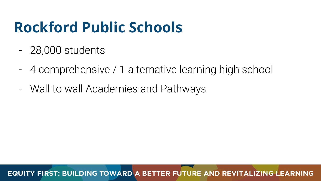# **Rockford Public Schools**

- 28,000 students
- 4 comprehensive / 1 alternative learning high school
- Wall to wall Academies and Pathways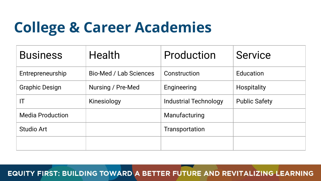# **College & Career Academies**

| <b>Business</b>         | <b>Health</b>                 | Production                   | <b>Service</b>       |
|-------------------------|-------------------------------|------------------------------|----------------------|
| Entrepreneurship        | <b>Bio-Med / Lab Sciences</b> | Construction                 | Education            |
| <b>Graphic Design</b>   | Nursing / Pre-Med             | Engineering                  | Hospitality          |
| IT                      | Kinesiology                   | <b>Industrial Technology</b> | <b>Public Safety</b> |
| <b>Media Production</b> |                               | Manufacturing                |                      |
| <b>Studio Art</b>       |                               | <b>Transportation</b>        |                      |
|                         |                               |                              |                      |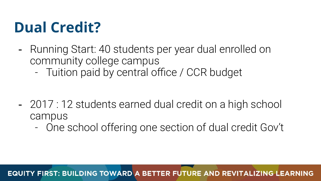# **Dual Credit?**

- Running Start: 40 students per year dual enrolled on community college campus
	- Tuition paid by central office / CCR budget

- 2017 : 12 students earned dual credit on a high school campus
	- One school offering one section of dual credit Gov't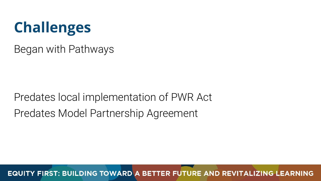

Began with Pathways

Predates local implementation of PWR Act Predates Model Partnership Agreement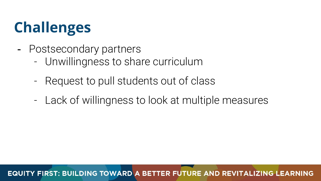# **Challenges**

- Postsecondary partners
	- Unwillingness to share curriculum
	- Request to pull students out of class
	- Lack of willingness to look at multiple measures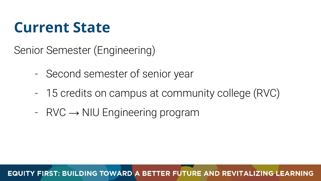Senior Semester (Engineering)

- Second semester of senior year
- 15 credits on campus at community college (RVC)
- $-$  RVC  $\rightarrow$  NIU Engineering program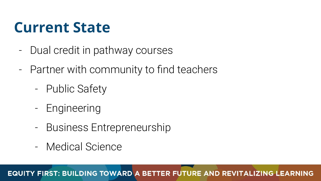- Dual credit in pathway courses
- Partner with community to find teachers
	- Public Safety
	- Engineering
	- Business Entrepreneurship
	- Medical Science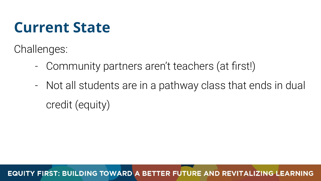Challenges:

- Community partners aren't teachers (at first!)
- Not all students are in a pathway class that ends in dual credit (equity)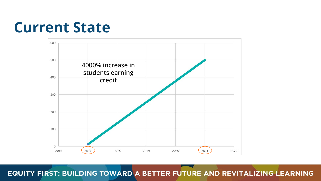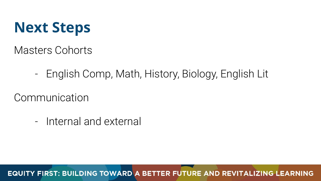

Masters Cohorts

- English Comp, Math, History, Biology, English Lit

Communication

- Internal and external